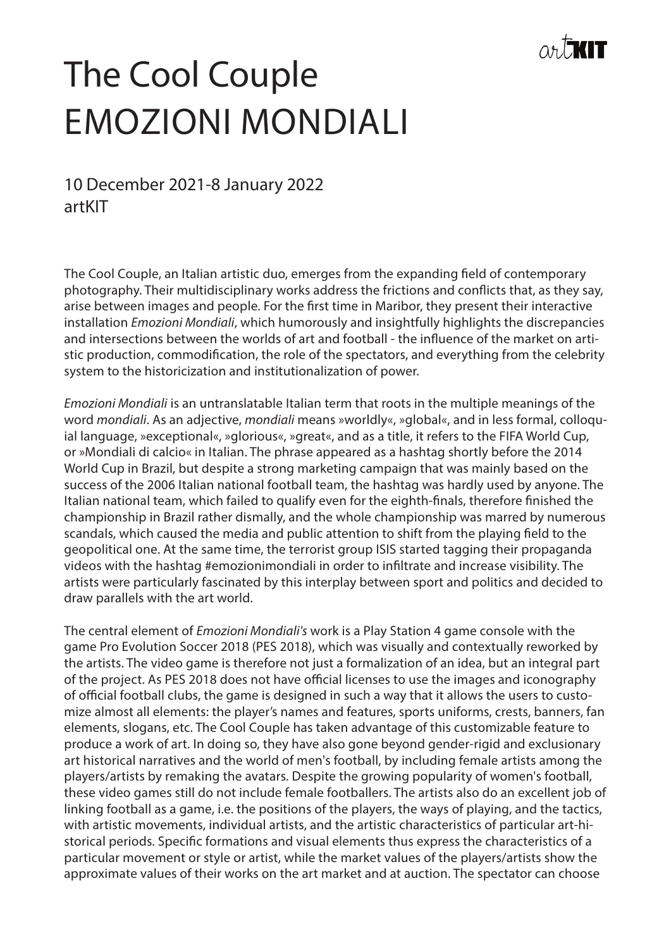

## The Cool Couple EMOZIONI MONDIALI

10 December 2021-8 January 2022 artKIT

The Cool Couple, an Italian artistic duo, emerges from the expanding field of contemporary photography. Their multidisciplinary works address the frictions and conflicts that, as they say, arise between images and people. For the first time in Maribor, they present their interactive installation *Emozioni Mondiali*, which humorously and insightfully highlights the discrepancies and intersections between the worlds of art and football - the influence of the market on artistic production, commodification, the role of the spectators, and everything from the celebrity system to the historicization and institutionalization of power.

*Emozioni Mondiali* is an untranslatable Italian term that roots in the multiple meanings of the word *mondiali*. As an adjective, *mondiali* means »worldly«, »global«, and in less formal, colloquial language, »exceptional«, »glorious«, »great«, and as a title, it refers to the FIFA World Cup, or »Mondiali di calcio« in Italian. The phrase appeared as a hashtag shortly before the 2014 World Cup in Brazil, but despite a strong marketing campaign that was mainly based on the success of the 2006 Italian national football team, the hashtag was hardly used by anyone. The Italian national team, which failed to qualify even for the eighth-finals, therefore finished the championship in Brazil rather dismally, and the whole championship was marred by numerous scandals, which caused the media and public attention to shift from the playing field to the geopolitical one. At the same time, the terrorist group ISIS started tagging their propaganda videos with the hashtag #emozionimondiali in order to infiltrate and increase visibility. The artists were particularly fascinated by this interplay between sport and politics and decided to draw parallels with the art world.

The central element of *Emozioni Mondiali's* work is a Play Station 4 game console with the game Pro Evolution Soccer 2018 (PES 2018), which was visually and contextually reworked by the artists. The video game is therefore not just a formalization of an idea, but an integral part of the project. As PES 2018 does not have official licenses to use the images and iconography of official football clubs, the game is designed in such a way that it allows the users to customize almost all elements: the player's names and features, sports uniforms, crests, banners, fan elements, slogans, etc. The Cool Couple has taken advantage of this customizable feature to produce a work of art. In doing so, they have also gone beyond gender-rigid and exclusionary art historical narratives and the world of men's football, by including female artists among the players/artists by remaking the avatars. Despite the growing popularity of women's football, these video games still do not include female footballers. The artists also do an excellent job of linking football as a game, i.e. the positions of the players, the ways of playing, and the tactics, with artistic movements, individual artists, and the artistic characteristics of particular art-historical periods. Specific formations and visual elements thus express the characteristics of a particular movement or style or artist, while the market values of the players/artists show the approximate values of their works on the art market and at auction. The spectator can choose